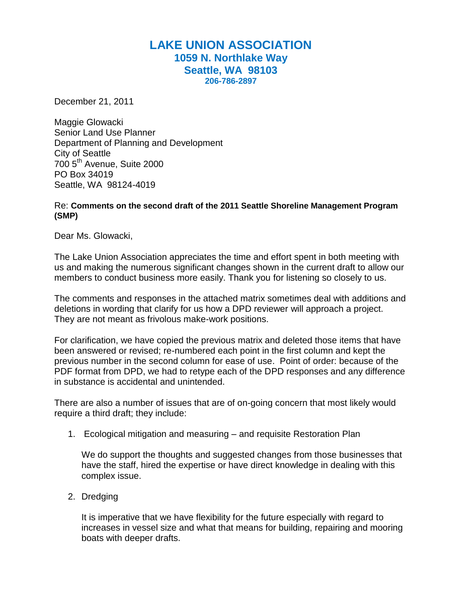## **LAKE UNION ASSOCIATION 1059 N. Northlake Way Seattle, WA 98103 206-786-2897**

December 21, 2011

Maggie Glowacki Senior Land Use Planner Department of Planning and Development City of Seattle 700 5th Avenue, Suite 2000 PO Box 34019 Seattle, WA 98124-4019

## Re: **Comments on the second draft of the 2011 Seattle Shoreline Management Program (SMP)**

Dear Ms. Glowacki,

The Lake Union Association appreciates the time and effort spent in both meeting with us and making the numerous significant changes shown in the current draft to allow our members to conduct business more easily. Thank you for listening so closely to us.

The comments and responses in the attached matrix sometimes deal with additions and deletions in wording that clarify for us how a DPD reviewer will approach a project. They are not meant as frivolous make-work positions.

For clarification, we have copied the previous matrix and deleted those items that have been answered or revised; re-numbered each point in the first column and kept the previous number in the second column for ease of use. Point of order: because of the PDF format from DPD, we had to retype each of the DPD responses and any difference in substance is accidental and unintended.

There are also a number of issues that are of on-going concern that most likely would require a third draft; they include:

1. Ecological mitigation and measuring – and requisite Restoration Plan

We do support the thoughts and suggested changes from those businesses that have the staff, hired the expertise or have direct knowledge in dealing with this complex issue.

2. Dredging

It is imperative that we have flexibility for the future especially with regard to increases in vessel size and what that means for building, repairing and mooring boats with deeper drafts.